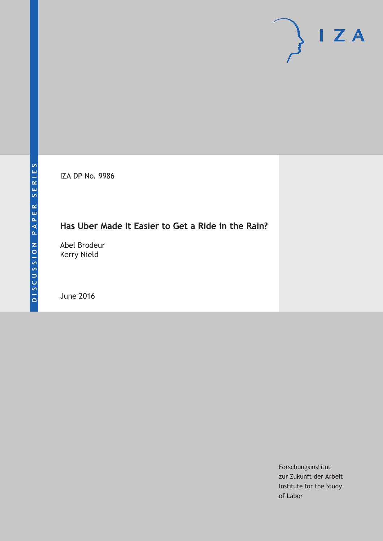IZA DP No. 9986

# **Has Uber Made It Easier to Get a Ride in the Rain?**

Abel Brodeur Kerry Nield

June 2016

Forschungsinstitut zur Zukunft der Arbeit Institute for the Study of Labor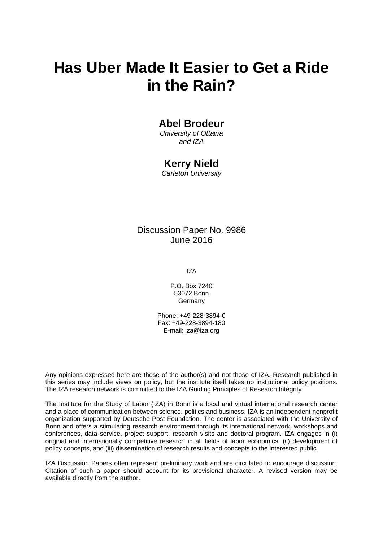# **Has Uber Made It Easier to Get a Ride in the Rain?**

### **Abel Brodeur**

*University of Ottawa and IZA* 

### **Kerry Nield**

*Carleton University* 

### Discussion Paper No. 9986 June 2016

IZA

P.O. Box 7240 53072 Bonn Germany

Phone: +49-228-3894-0 Fax: +49-228-3894-180 E-mail: iza@iza.org

Any opinions expressed here are those of the author(s) and not those of IZA. Research published in this series may include views on policy, but the institute itself takes no institutional policy positions. The IZA research network is committed to the IZA Guiding Principles of Research Integrity.

The Institute for the Study of Labor (IZA) in Bonn is a local and virtual international research center and a place of communication between science, politics and business. IZA is an independent nonprofit organization supported by Deutsche Post Foundation. The center is associated with the University of Bonn and offers a stimulating research environment through its international network, workshops and conferences, data service, project support, research visits and doctoral program. IZA engages in (i) original and internationally competitive research in all fields of labor economics, (ii) development of policy concepts, and (iii) dissemination of research results and concepts to the interested public.

IZA Discussion Papers often represent preliminary work and are circulated to encourage discussion. Citation of such a paper should account for its provisional character. A revised version may be available directly from the author.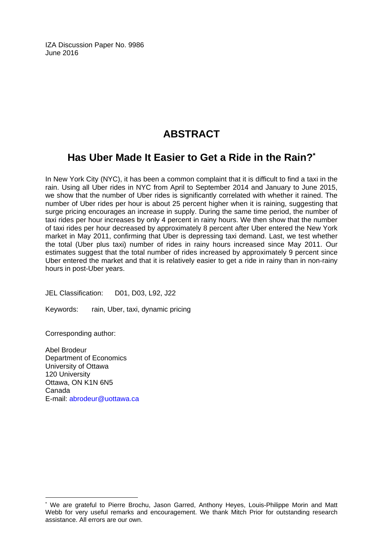IZA Discussion Paper No. 9986 June 2016

# **ABSTRACT**

# **Has Uber Made It Easier to Get a Ride in the Rain?\***

In New York City (NYC), it has been a common complaint that it is difficult to find a taxi in the rain. Using all Uber rides in NYC from April to September 2014 and January to June 2015, we show that the number of Uber rides is significantly correlated with whether it rained. The number of Uber rides per hour is about 25 percent higher when it is raining, suggesting that surge pricing encourages an increase in supply. During the same time period, the number of taxi rides per hour increases by only 4 percent in rainy hours. We then show that the number of taxi rides per hour decreased by approximately 8 percent after Uber entered the New York market in May 2011, confirming that Uber is depressing taxi demand. Last, we test whether the total (Uber plus taxi) number of rides in rainy hours increased since May 2011. Our estimates suggest that the total number of rides increased by approximately 9 percent since Uber entered the market and that it is relatively easier to get a ride in rainy than in non-rainy hours in post-Uber years.

JEL Classification: D01, D03, L92, J22

Keywords: rain, Uber, taxi, dynamic pricing

Corresponding author:

 $\overline{a}$ 

Abel Brodeur Department of Economics University of Ottawa 120 University Ottawa, ON K1N 6N5 Canada E-mail: abrodeur@uottawa.ca

<sup>\*</sup> We are grateful to Pierre Brochu, Jason Garred, Anthony Heyes, Louis-Philippe Morin and Matt Webb for very useful remarks and encouragement. We thank Mitch Prior for outstanding research assistance. All errors are our own.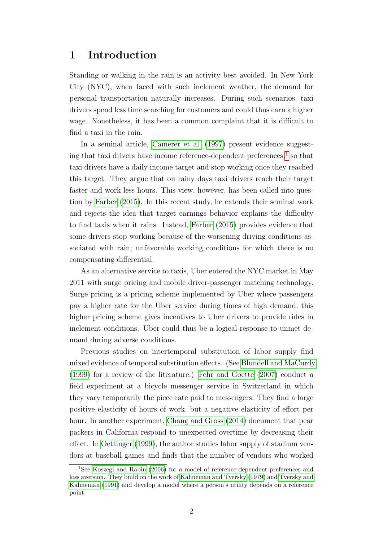# 1 Introduction

Standing or walking in the rain is an activity best avoided. In New York City (NYC), when faced with such inclement weather, the demand for personal transportation naturally increases. During such scenarios, taxi drivers spend less time searching for customers and could thus earn a higher wage. Nonetheless, it has been a common complaint that it is difficult to find a taxi in the rain.

In a seminal article, [Camerer et al.](#page-18-0) [\(1997\)](#page-18-0) present evidence suggesting that taxi drivers have income reference-dependent preferences, $<sup>1</sup>$  $<sup>1</sup>$  $<sup>1</sup>$  so that</sup> taxi drivers have a daily income target and stop working once they reached this target. They argue that on rainy days taxi drivers reach their target faster and work less hours. This view, however, has been called into question by [Farber](#page-19-0) [\(2015\)](#page-19-0). In this recent study, he extends their seminal work and rejects the idea that target earnings behavior explains the difficulty to find taxis when it rains. Instead, [Farber](#page-19-0) [\(2015\)](#page-19-0) provides evidence that some drivers stop working because of the worsening driving conditions associated with rain; unfavorable working conditions for which there is no compensating differential.

As an alternative service to taxis, Uber entered the NYC market in May 2011 with surge pricing and mobile driver-passenger matching technology. Surge pricing is a pricing scheme implemented by Uber where passengers pay a higher rate for the Uber service during times of high demand; this higher pricing scheme gives incentives to Uber drivers to provide rides in inclement conditions. Uber could thus be a logical response to unmet demand during adverse conditions.

Previous studies on intertemporal substitution of labor supply find mixed evidence of temporal substitution effects. (See [Blundell and MaCurdy](#page-18-1) [\(1999\)](#page-18-1) for a review of the literature.) [Fehr and Goette](#page-19-1) [\(2007\)](#page-19-1) conduct a field experiment at a bicycle messenger service in Switzerland in which they vary temporarily the piece rate paid to messengers. They find a large positive elasticity of hours of work, but a negative elasticity of effort per hour. In another experiment, [Chang and Gross](#page-18-2) [\(2014\)](#page-18-2) document that pear packers in California respond to unexpected overtime by decreasing their effort. In [Oettinger](#page-19-2) [\(1999\)](#page-19-2), the author studies labor supply of stadium vendors at baseball games and finds that the number of vendors who worked

<span id="page-3-0"></span><sup>1</sup>See [Koszegi and Rabin](#page-19-3) [\(2006\)](#page-19-3) for a model of reference-dependent preferences and loss aversion. They build on the work of [Kahneman and Tversky](#page-19-4) [\(1979\)](#page-19-4) and [Tversky and](#page-19-5) [Kahneman](#page-19-5) [\(1991\)](#page-19-5) and develop a model where a person's utility depends on a reference point.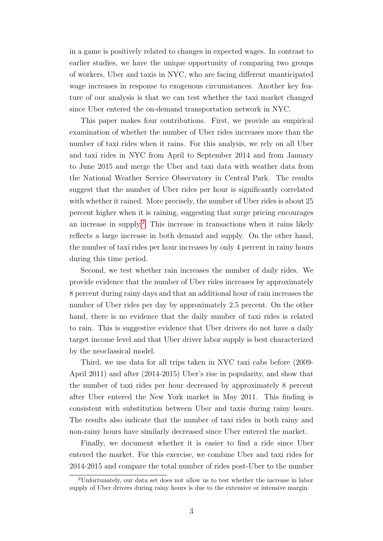in a game is positively related to changes in expected wages. In contrast to earlier studies, we have the unique opportunity of comparing two groups of workers, Uber and taxis in NYC, who are facing different unanticipated wage increases in response to exogenous circumstances. Another key feature of our analysis is that we can test whether the taxi market changed since Uber entered the on-demand transportation network in NYC.

This paper makes four contributions. First, we provide an empirical examination of whether the number of Uber rides increases more than the number of taxi rides when it rains. For this analysis, we rely on all Uber and taxi rides in NYC from April to September 2014 and from January to June 2015 and merge the Uber and taxi data with weather data from the National Weather Service Observatory in Central Park. The results suggest that the number of Uber rides per hour is significantly correlated with whether it rained. More precisely, the number of Uber rides is about 25 percent higher when it is raining, suggesting that surge pricing encourages an increase in supply.[2](#page-4-0) This increase in transactions when it rains likely reflects a large increase in both demand and supply. On the other hand, the number of taxi rides per hour increases by only 4 percent in rainy hours during this time period.

Second, we test whether rain increases the number of daily rides. We provide evidence that the number of Uber rides increases by approximately 8 percent during rainy days and that an additional hour of rain increases the number of Uber rides per day by approximately 2.5 percent. On the other hand, there is no evidence that the daily number of taxi rides is related to rain. This is suggestive evidence that Uber drivers do not have a daily target income level and that Uber driver labor supply is best characterized by the neoclassical model.

Third, we use data for all trips taken in NYC taxi cabs before (2009- April 2011) and after (2014-2015) Uber's rise in popularity, and show that the number of taxi rides per hour decreased by approximately 8 percent after Uber entered the New York market in May 2011. This finding is consistent with substitution between Uber and taxis during rainy hours. The results also indicate that the number of taxi rides in both rainy and non-rainy hours have similarly decreased since Uber entered the market.

Finally, we document whether it is easier to find a ride since Uber entered the market. For this exercise, we combine Uber and taxi rides for 2014-2015 and compare the total number of rides post-Uber to the number

<span id="page-4-0"></span><sup>2</sup>Unfortunately, our data set does not allow us to test whether the increase in labor supply of Uber drivers during rainy hours is due to the extensive or intensive margin.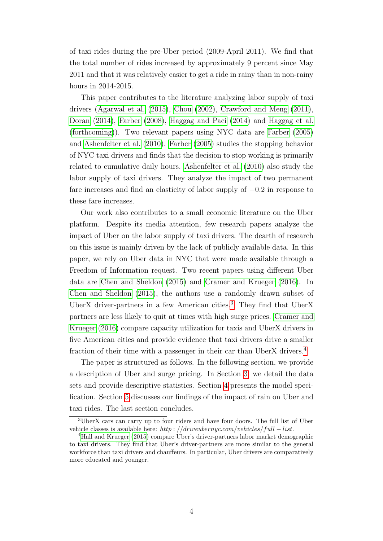of taxi rides during the pre-Uber period (2009-April 2011). We find that the total number of rides increased by approximately 9 percent since May 2011 and that it was relatively easier to get a ride in rainy than in non-rainy hours in 2014-2015.

This paper contributes to the literature analyzing labor supply of taxi drivers [\(Agarwal et al.](#page-18-3) [\(2015\)](#page-18-3), [Chou](#page-18-4) [\(2002\)](#page-18-4), [Crawford and Meng](#page-18-5) [\(2011\)](#page-18-5), [Doran](#page-19-6) [\(2014\)](#page-19-6), [Farber](#page-19-7) [\(2008\)](#page-19-7), [Haggag and Paci](#page-19-8) [\(2014\)](#page-19-8) and [Haggag et al.](#page-19-9) [\(forthcoming\)](#page-19-9)). Two relevant papers using NYC data are [Farber](#page-19-10) [\(2005\)](#page-19-10) and [Ashenfelter et al.](#page-18-6) [\(2010\)](#page-18-6). [Farber](#page-19-10) [\(2005\)](#page-19-10) studies the stopping behavior of NYC taxi drivers and finds that the decision to stop working is primarily related to cumulative daily hours. [Ashenfelter et al.](#page-18-6) [\(2010\)](#page-18-6) also study the labor supply of taxi drivers. They analyze the impact of two permanent fare increases and find an elasticity of labor supply of −0.2 in response to these fare increases.

Our work also contributes to a small economic literature on the Uber platform. Despite its media attention, few research papers analyze the impact of Uber on the labor supply of taxi drivers. The dearth of research on this issue is mainly driven by the lack of publicly available data. In this paper, we rely on Uber data in NYC that were made available through a Freedom of Information request. Two recent papers using different Uber data are [Chen and Sheldon](#page-18-7) [\(2015\)](#page-18-7) and [Cramer and Krueger](#page-18-8) [\(2016\)](#page-18-8). In [Chen and Sheldon](#page-18-7) [\(2015\)](#page-18-7), the authors use a randomly drawn subset of UberX driver-partners in a few American cities.<sup>[3](#page-5-0)</sup> They find that UberX partners are less likely to quit at times with high surge prices. [Cramer and](#page-18-8) [Krueger](#page-18-8) [\(2016\)](#page-18-8) compare capacity utilization for taxis and UberX drivers in five American cities and provide evidence that taxi drivers drive a smaller fraction of their time with a passenger in their car than UberX drivers.[4](#page-5-1)

The paper is structured as follows. In the following section, we provide a description of Uber and surge pricing. In Section [3,](#page-8-0) we detail the data sets and provide descriptive statistics. Section [4](#page-11-0) presents the model specification. Section [5](#page-12-0) discusses our findings of the impact of rain on Uber and taxi rides. The last section concludes.

<span id="page-5-0"></span><sup>3</sup>UberX cars can carry up to four riders and have four doors. The full list of Uber vehicle classes is available here: http://driveubernyc.com/vehicles/full − list.

<span id="page-5-1"></span><sup>4</sup>[Hall and Krueger](#page-19-11) [\(2015\)](#page-19-11) compare Uber's driver-partners labor market demographic to taxi drivers. They find that Uber's driver-partners are more similar to the general workforce than taxi drivers and chauffeurs. In particular, Uber drivers are comparatively more educated and younger.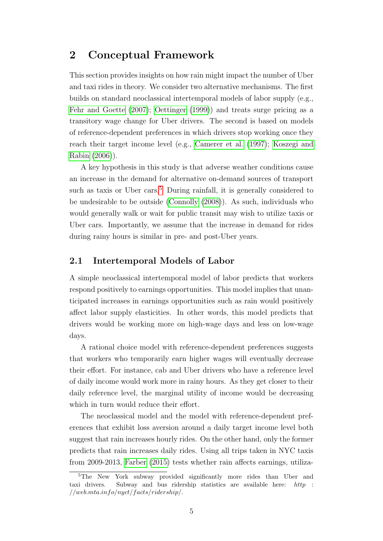# 2 Conceptual Framework

This section provides insights on how rain might impact the number of Uber and taxi rides in theory. We consider two alternative mechanisms. The first builds on standard neoclassical intertemporal models of labor supply (e.g., [Fehr and Goette](#page-19-1) [\(2007\)](#page-19-1); [Oettinger](#page-19-2) [\(1999\)](#page-19-2)) and treats surge pricing as a transitory wage change for Uber drivers. The second is based on models of reference-dependent preferences in which drivers stop working once they reach their target income level (e.g., [Camerer et al.](#page-18-0) [\(1997\)](#page-18-0); [Koszegi and](#page-19-3) [Rabin](#page-19-3) [\(2006\)](#page-19-3)).

A key hypothesis in this study is that adverse weather conditions cause an increase in the demand for alternative on-demand sources of transport such as taxis or Uber cars.<sup>[5](#page-6-0)</sup> During rainfall, it is generally considered to be undesirable to be outside [\(Connolly](#page-18-9) [\(2008\)](#page-18-9)). As such, individuals who would generally walk or wait for public transit may wish to utilize taxis or Uber cars. Importantly, we assume that the increase in demand for rides during rainy hours is similar in pre- and post-Uber years.

### 2.1 Intertemporal Models of Labor

A simple neoclassical intertemporal model of labor predicts that workers respond positively to earnings opportunities. This model implies that unanticipated increases in earnings opportunities such as rain would positively affect labor supply elasticities. In other words, this model predicts that drivers would be working more on high-wage days and less on low-wage days.

A rational choice model with reference-dependent preferences suggests that workers who temporarily earn higher wages will eventually decrease their effort. For instance, cab and Uber drivers who have a reference level of daily income would work more in rainy hours. As they get closer to their daily reference level, the marginal utility of income would be decreasing which in turn would reduce their effort.

The neoclassical model and the model with reference-dependent preferences that exhibit loss aversion around a daily target income level both suggest that rain increases hourly rides. On the other hand, only the former predicts that rain increases daily rides. Using all trips taken in NYC taxis from 2009-2013, [Farber](#page-19-0) [\(2015\)](#page-19-0) tests whether rain affects earnings, utiliza-

<span id="page-6-0"></span><sup>&</sup>lt;sup>5</sup>The New York subway provided significantly more rides than Uber and taxi drivers. Subway and bus ridership statistics are available here: http :  $//web.mta.info/nyct/facts/ridership/.$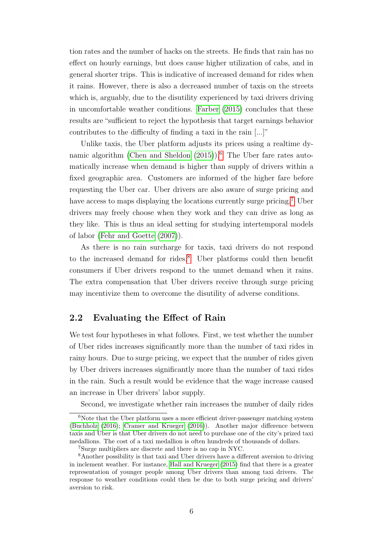tion rates and the number of hacks on the streets. He finds that rain has no effect on hourly earnings, but does cause higher utilization of cabs, and in general shorter trips. This is indicative of increased demand for rides when it rains. However, there is also a decreased number of taxis on the streets which is, arguably, due to the disutility experienced by taxi drivers driving in uncomfortable weather conditions. [Farber](#page-19-0) [\(2015\)](#page-19-0) concludes that these results are "sufficient to reject the hypothesis that target earnings behavior contributes to the difficulty of finding a taxi in the rain [...]"

Unlike taxis, the Uber platform adjusts its prices using a realtime dy-namic algorithm [\(Chen and Sheldon](#page-18-7)  $(2015)$ ).<sup>[6](#page-7-0)</sup> The Uber fare rates automatically increase when demand is higher than supply of drivers within a fixed geographic area. Customers are informed of the higher fare before requesting the Uber car. Uber drivers are also aware of surge pricing and have access to maps displaying the locations currently surge pricing.<sup>[7](#page-7-1)</sup> Uber drivers may freely choose when they work and they can drive as long as they like. This is thus an ideal setting for studying intertemporal models of labor [\(Fehr and Goette](#page-19-1) [\(2007\)](#page-19-1)).

As there is no rain surcharge for taxis, taxi drivers do not respond to the increased demand for rides.<sup>[8](#page-7-2)</sup> Uber platforms could then benefit consumers if Uber drivers respond to the unmet demand when it rains. The extra compensation that Uber drivers receive through surge pricing may incentivize them to overcome the disutility of adverse conditions.

### 2.2 Evaluating the Effect of Rain

We test four hypotheses in what follows. First, we test whether the number of Uber rides increases significantly more than the number of taxi rides in rainy hours. Due to surge pricing, we expect that the number of rides given by Uber drivers increases significantly more than the number of taxi rides in the rain. Such a result would be evidence that the wage increase caused an increase in Uber drivers' labor supply.

<span id="page-7-0"></span>Second, we investigate whether rain increases the number of daily rides

 ${}^{6}$ Note that the Uber platform uses a more efficient driver-passenger matching system [\(Buchholz](#page-18-10) [\(2016\)](#page-18-10); [Cramer and Krueger](#page-18-8) [\(2016\)](#page-18-8)). Another major difference between taxis and Uber is that Uber drivers do not need to purchase one of the city's prized taxi medallions. The cost of a taxi medallion is often hundreds of thousands of dollars.

<span id="page-7-2"></span><span id="page-7-1"></span><sup>7</sup>Surge multipliers are discrete and there is no cap in NYC.

<sup>8</sup>Another possibility is that taxi and Uber drivers have a different aversion to driving in inclement weather. For instance, [Hall and Krueger](#page-19-11) [\(2015\)](#page-19-11) find that there is a greater representation of younger people among Uber drivers than among taxi drivers. The response to weather conditions could then be due to both surge pricing and drivers' aversion to risk.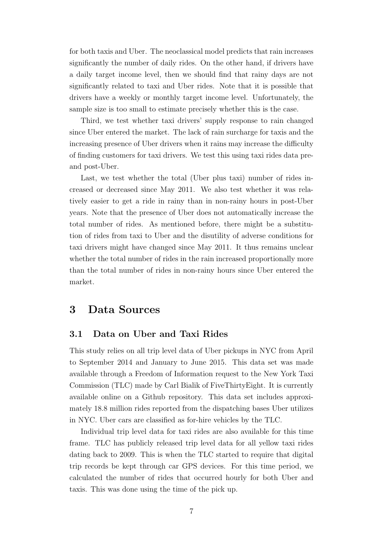for both taxis and Uber. The neoclassical model predicts that rain increases significantly the number of daily rides. On the other hand, if drivers have a daily target income level, then we should find that rainy days are not significantly related to taxi and Uber rides. Note that it is possible that drivers have a weekly or monthly target income level. Unfortunately, the sample size is too small to estimate precisely whether this is the case.

Third, we test whether taxi drivers' supply response to rain changed since Uber entered the market. The lack of rain surcharge for taxis and the increasing presence of Uber drivers when it rains may increase the difficulty of finding customers for taxi drivers. We test this using taxi rides data preand post-Uber.

Last, we test whether the total (Uber plus taxi) number of rides increased or decreased since May 2011. We also test whether it was relatively easier to get a ride in rainy than in non-rainy hours in post-Uber years. Note that the presence of Uber does not automatically increase the total number of rides. As mentioned before, there might be a substitution of rides from taxi to Uber and the disutility of adverse conditions for taxi drivers might have changed since May 2011. It thus remains unclear whether the total number of rides in the rain increased proportionally more than the total number of rides in non-rainy hours since Uber entered the market.

### <span id="page-8-0"></span>3 Data Sources

#### 3.1 Data on Uber and Taxi Rides

This study relies on all trip level data of Uber pickups in NYC from April to September 2014 and January to June 2015. This data set was made available through a Freedom of Information request to the New York Taxi Commission (TLC) made by Carl Bialik of FiveThirtyEight. It is currently available online on a Github repository. This data set includes approximately 18.8 million rides reported from the dispatching bases Uber utilizes in NYC. Uber cars are classified as for-hire vehicles by the TLC.

Individual trip level data for taxi rides are also available for this time frame. TLC has publicly released trip level data for all yellow taxi rides dating back to 2009. This is when the TLC started to require that digital trip records be kept through car GPS devices. For this time period, we calculated the number of rides that occurred hourly for both Uber and taxis. This was done using the time of the pick up.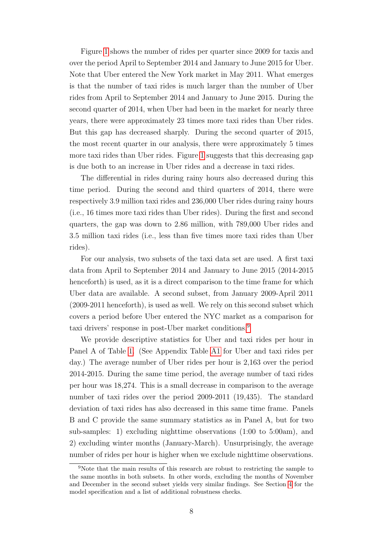Figure [1](#page-20-0) shows the number of rides per quarter since 2009 for taxis and over the period April to September 2014 and January to June 2015 for Uber. Note that Uber entered the New York market in May 2011. What emerges is that the number of taxi rides is much larger than the number of Uber rides from April to September 2014 and January to June 2015. During the second quarter of 2014, when Uber had been in the market for nearly three years, there were approximately 23 times more taxi rides than Uber rides. But this gap has decreased sharply. During the second quarter of 2015, the most recent quarter in our analysis, there were approximately 5 times more taxi rides than Uber rides. Figure [1](#page-20-0) suggests that this decreasing gap is due both to an increase in Uber rides and a decrease in taxi rides.

The differential in rides during rainy hours also decreased during this time period. During the second and third quarters of 2014, there were respectively 3.9 million taxi rides and 236,000 Uber rides during rainy hours (i.e., 16 times more taxi rides than Uber rides). During the first and second quarters, the gap was down to 2.86 million, with 789,000 Uber rides and 3.5 million taxi rides (i.e., less than five times more taxi rides than Uber rides).

For our analysis, two subsets of the taxi data set are used. A first taxi data from April to September 2014 and January to June 2015 (2014-2015 henceforth) is used, as it is a direct comparison to the time frame for which Uber data are available. A second subset, from January 2009-April 2011 (2009-2011 henceforth), is used as well. We rely on this second subset which covers a period before Uber entered the NYC market as a comparison for taxi drivers' response in post-Uber market conditions.[9](#page-9-0)

We provide descriptive statistics for Uber and taxi rides per hour in Panel A of Table [1.](#page-22-0) (See Appendix Table [A1](#page-28-0) for Uber and taxi rides per day.) The average number of Uber rides per hour is 2,163 over the period 2014-2015. During the same time period, the average number of taxi rides per hour was 18,274. This is a small decrease in comparison to the average number of taxi rides over the period 2009-2011 (19,435). The standard deviation of taxi rides has also decreased in this same time frame. Panels B and C provide the same summary statistics as in Panel A, but for two sub-samples: 1) excluding nighttime observations (1:00 to 5:00am), and 2) excluding winter months (January-March). Unsurprisingly, the average number of rides per hour is higher when we exclude nighttime observations.

<span id="page-9-0"></span><sup>9</sup>Note that the main results of this research are robust to restricting the sample to the same months in both subsets. In other words, excluding the months of November and December in the second subset yields very similar findings. See Section [4](#page-11-0) for the model specification and a list of additional robustness checks.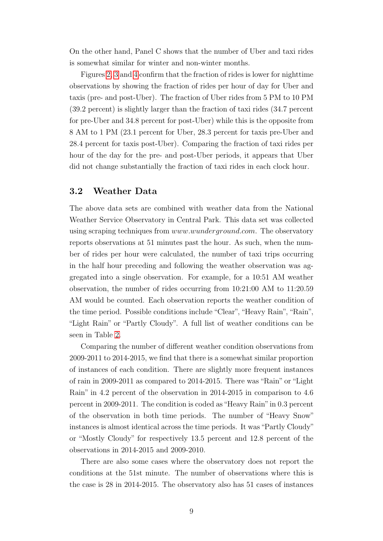On the other hand, Panel C shows that the number of Uber and taxi rides is somewhat similar for winter and non-winter months.

Figures [2,](#page-20-1) [3](#page-21-0) and [4](#page-21-1) confirm that the fraction of rides is lower for nighttime observations by showing the fraction of rides per hour of day for Uber and taxis (pre- and post-Uber). The fraction of Uber rides from 5 PM to 10 PM (39.2 percent) is slightly larger than the fraction of taxi rides (34.7 percent for pre-Uber and 34.8 percent for post-Uber) while this is the opposite from 8 AM to 1 PM (23.1 percent for Uber, 28.3 percent for taxis pre-Uber and 28.4 percent for taxis post-Uber). Comparing the fraction of taxi rides per hour of the day for the pre- and post-Uber periods, it appears that Uber did not change substantially the fraction of taxi rides in each clock hour.

#### 3.2 Weather Data

The above data sets are combined with weather data from the National Weather Service Observatory in Central Park. This data set was collected using scraping techniques from *www.wunderground.com*. The observatory reports observations at 51 minutes past the hour. As such, when the number of rides per hour were calculated, the number of taxi trips occurring in the half hour preceding and following the weather observation was aggregated into a single observation. For example, for a 10:51 AM weather observation, the number of rides occurring from 10:21:00 AM to 11:20.59 AM would be counted. Each observation reports the weather condition of the time period. Possible conditions include "Clear", "Heavy Rain", "Rain", "Light Rain" or "Partly Cloudy". A full list of weather conditions can be seen in Table [2.](#page-23-0)

Comparing the number of different weather condition observations from 2009-2011 to 2014-2015, we find that there is a somewhat similar proportion of instances of each condition. There are slightly more frequent instances of rain in 2009-2011 as compared to 2014-2015. There was "Rain" or "Light Rain" in 4.2 percent of the observation in 2014-2015 in comparison to 4.6 percent in 2009-2011. The condition is coded as"Heavy Rain"in 0.3 percent of the observation in both time periods. The number of "Heavy Snow" instances is almost identical across the time periods. It was"Partly Cloudy" or "Mostly Cloudy" for respectively 13.5 percent and 12.8 percent of the observations in 2014-2015 and 2009-2010.

There are also some cases where the observatory does not report the conditions at the 51st minute. The number of observations where this is the case is 28 in 2014-2015. The observatory also has 51 cases of instances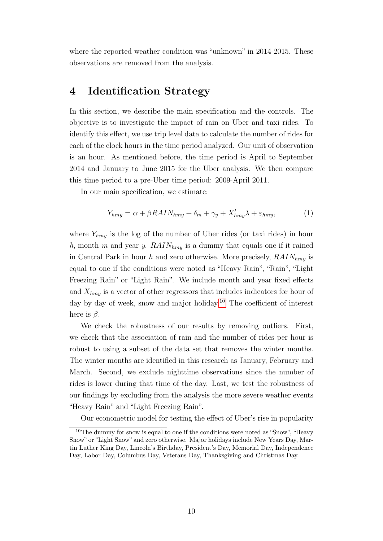<span id="page-11-0"></span>where the reported weather condition was "unknown" in 2014-2015. These observations are removed from the analysis.

# 4 Identification Strategy

In this section, we describe the main specification and the controls. The objective is to investigate the impact of rain on Uber and taxi rides. To identify this effect, we use trip level data to calculate the number of rides for each of the clock hours in the time period analyzed. Our unit of observation is an hour. As mentioned before, the time period is April to September 2014 and January to June 2015 for the Uber analysis. We then compare this time period to a pre-Uber time period: 2009-April 2011.

In our main specification, we estimate:

<span id="page-11-2"></span>
$$
Y_{hmy} = \alpha + \beta R A I N_{hmy} + \delta_m + \gamma_y + X'_{hmy} \lambda + \varepsilon_{hmy},\tag{1}
$$

where  $Y_{hmy}$  is the log of the number of Uber rides (or taxi rides) in hour h, month m and year y.  $RAIN_{hmy}$  is a dummy that equals one if it rained in Central Park in hour h and zero otherwise. More precisely,  $RAIN_{hmu}$  is equal to one if the conditions were noted as "Heavy Rain", "Rain", "Light Freezing Rain" or "Light Rain". We include month and year fixed effects and  $X_{hmy}$  is a vector of other regressors that includes indicators for hour of day by day of week, snow and major holiday.<sup>[10](#page-11-1)</sup> The coefficient of interest here is  $\beta$ .

We check the robustness of our results by removing outliers. First, we check that the association of rain and the number of rides per hour is robust to using a subset of the data set that removes the winter months. The winter months are identified in this research as January, February and March. Second, we exclude nighttime observations since the number of rides is lower during that time of the day. Last, we test the robustness of our findings by excluding from the analysis the more severe weather events "Heavy Rain" and "Light Freezing Rain".

<span id="page-11-1"></span>Our econometric model for testing the effect of Uber's rise in popularity

 $10$ The dummy for snow is equal to one if the conditions were noted as "Snow", "Heavy" Snow" or "Light Snow" and zero otherwise. Major holidays include New Years Day, Martin Luther King Day, Lincoln's Birthday, President's Day, Memorial Day, Independence Day, Labor Day, Columbus Day, Veterans Day, Thanksgiving and Christmas Day.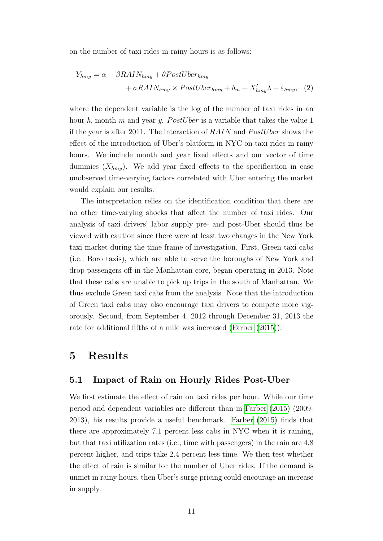on the number of taxi rides in rainy hours is as follows:

<span id="page-12-1"></span>
$$
Y_{hmy} = \alpha + \beta R A I N_{hmy} + \theta PostUber_{hmy}
$$

$$
+ \sigma R A I N_{hmy} \times PostUber_{hmy} + \delta_m + X'_{hmy} \lambda + \varepsilon_{hmy}, \quad (2)
$$

where the dependent variable is the log of the number of taxi rides in an hour h, month m and year y. PostUber is a variable that takes the value 1 if the year is after 2011. The interaction of  $RAIN$  and  $PostUber$  shows the effect of the introduction of Uber's platform in NYC on taxi rides in rainy hours. We include month and year fixed effects and our vector of time dummies  $(X_{hmu})$ . We add year fixed effects to the specification in case unobserved time-varying factors correlated with Uber entering the market would explain our results.

The interpretation relies on the identification condition that there are no other time-varying shocks that affect the number of taxi rides. Our analysis of taxi drivers' labor supply pre- and post-Uber should thus be viewed with caution since there were at least two changes in the New York taxi market during the time frame of investigation. First, Green taxi cabs (i.e., Boro taxis), which are able to serve the boroughs of New York and drop passengers off in the Manhattan core, began operating in 2013. Note that these cabs are unable to pick up trips in the south of Manhattan. We thus exclude Green taxi cabs from the analysis. Note that the introduction of Green taxi cabs may also encourage taxi drivers to compete more vigorously. Second, from September 4, 2012 through December 31, 2013 the rate for additional fifths of a mile was increased [\(Farber](#page-19-0) [\(2015\)](#page-19-0)).

### <span id="page-12-0"></span>5 Results

#### 5.1 Impact of Rain on Hourly Rides Post-Uber

We first estimate the effect of rain on taxi rides per hour. While our time period and dependent variables are different than in [Farber](#page-19-0) [\(2015\)](#page-19-0) (2009- 2013), his results provide a useful benchmark. [Farber](#page-19-0) [\(2015\)](#page-19-0) finds that there are approximately 7.1 percent less cabs in NYC when it is raining, but that taxi utilization rates (i.e., time with passengers) in the rain are 4.8 percent higher, and trips take 2.4 percent less time. We then test whether the effect of rain is similar for the number of Uber rides. If the demand is unmet in rainy hours, then Uber's surge pricing could encourage an increase in supply.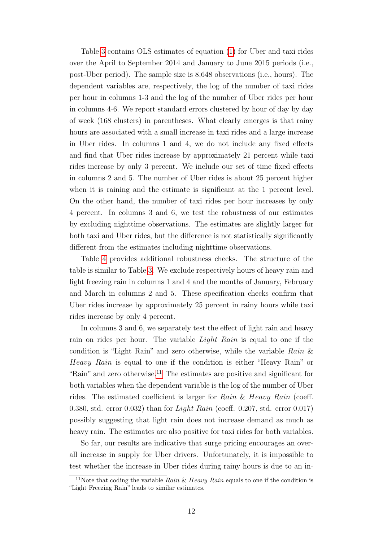Table [3](#page-24-0) contains OLS estimates of equation [\(1\)](#page-11-2) for Uber and taxi rides over the April to September 2014 and January to June 2015 periods (i.e., post-Uber period). The sample size is 8,648 observations (i.e., hours). The dependent variables are, respectively, the log of the number of taxi rides per hour in columns 1-3 and the log of the number of Uber rides per hour in columns 4-6. We report standard errors clustered by hour of day by day of week (168 clusters) in parentheses. What clearly emerges is that rainy hours are associated with a small increase in taxi rides and a large increase in Uber rides. In columns 1 and 4, we do not include any fixed effects and find that Uber rides increase by approximately 21 percent while taxi rides increase by only 3 percent. We include our set of time fixed effects in columns 2 and 5. The number of Uber rides is about 25 percent higher when it is raining and the estimate is significant at the 1 percent level. On the other hand, the number of taxi rides per hour increases by only 4 percent. In columns 3 and 6, we test the robustness of our estimates by excluding nighttime observations. The estimates are slightly larger for both taxi and Uber rides, but the difference is not statistically significantly different from the estimates including nighttime observations.

Table [4](#page-24-1) provides additional robustness checks. The structure of the table is similar to Table [3.](#page-24-0) We exclude respectively hours of heavy rain and light freezing rain in columns 1 and 4 and the months of January, February and March in columns 2 and 5. These specification checks confirm that Uber rides increase by approximately 25 percent in rainy hours while taxi rides increase by only 4 percent.

In columns 3 and 6, we separately test the effect of light rain and heavy rain on rides per hour. The variable Light Rain is equal to one if the condition is "Light Rain" and zero otherwise, while the variable Rain & Heavy Rain is equal to one if the condition is either "Heavy Rain" or "Rain" and zero otherwise.<sup>[11](#page-13-0)</sup> The estimates are positive and significant for both variables when the dependent variable is the log of the number of Uber rides. The estimated coefficient is larger for Rain & Heavy Rain (coeff. 0.380, std. error 0.032) than for Light Rain (coeff. 0.207, std. error 0.017) possibly suggesting that light rain does not increase demand as much as heavy rain. The estimates are also positive for taxi rides for both variables.

So far, our results are indicative that surge pricing encourages an overall increase in supply for Uber drivers. Unfortunately, it is impossible to test whether the increase in Uber rides during rainy hours is due to an in-

<span id="page-13-0"></span><sup>&</sup>lt;sup>11</sup>Note that coding the variable Rain & Heavy Rain equals to one if the condition is "Light Freezing Rain" leads to similar estimates.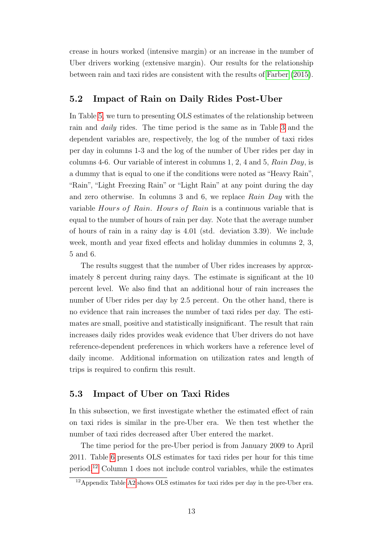crease in hours worked (intensive margin) or an increase in the number of Uber drivers working (extensive margin). Our results for the relationship between rain and taxi rides are consistent with the results of [Farber](#page-19-0) [\(2015\)](#page-19-0).

### 5.2 Impact of Rain on Daily Rides Post-Uber

In Table [5,](#page-25-0) we turn to presenting OLS estimates of the relationship between rain and daily rides. The time period is the same as in Table [3](#page-24-0) and the dependent variables are, respectively, the log of the number of taxi rides per day in columns 1-3 and the log of the number of Uber rides per day in columns 4-6. Our variable of interest in columns 1, 2, 4 and 5, Rain Day, is a dummy that is equal to one if the conditions were noted as "Heavy Rain", "Rain", "Light Freezing Rain" or "Light Rain" at any point during the day and zero otherwise. In columns 3 and 6, we replace Rain Day with the variable Hours of Rain. Hours of Rain is a continuous variable that is equal to the number of hours of rain per day. Note that the average number of hours of rain in a rainy day is 4.01 (std. deviation 3.39). We include week, month and year fixed effects and holiday dummies in columns 2, 3, 5 and 6.

The results suggest that the number of Uber rides increases by approximately 8 percent during rainy days. The estimate is significant at the 10 percent level. We also find that an additional hour of rain increases the number of Uber rides per day by 2.5 percent. On the other hand, there is no evidence that rain increases the number of taxi rides per day. The estimates are small, positive and statistically insignificant. The result that rain increases daily rides provides weak evidence that Uber drivers do not have reference-dependent preferences in which workers have a reference level of daily income. Additional information on utilization rates and length of trips is required to confirm this result.

### 5.3 Impact of Uber on Taxi Rides

In this subsection, we first investigate whether the estimated effect of rain on taxi rides is similar in the pre-Uber era. We then test whether the number of taxi rides decreased after Uber entered the market.

The time period for the pre-Uber period is from January 2009 to April 2011. Table [6](#page-25-1) presents OLS estimates for taxi rides per hour for this time period.[12](#page-14-0) Column 1 does not include control variables, while the estimates

<span id="page-14-0"></span> $12$ Appendix Table [A2](#page-28-1) shows OLS estimates for taxi rides per day in the pre-Uber era.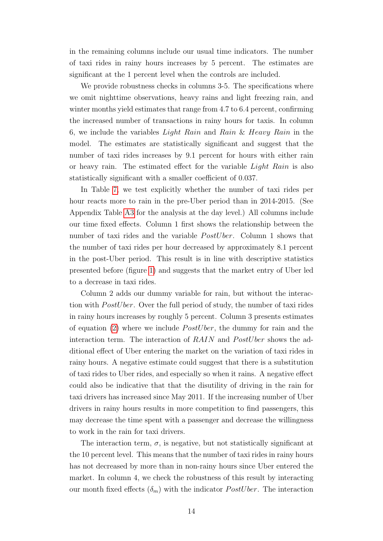in the remaining columns include our usual time indicators. The number of taxi rides in rainy hours increases by 5 percent. The estimates are significant at the 1 percent level when the controls are included.

We provide robustness checks in columns 3-5. The specifications where we omit nighttime observations, heavy rains and light freezing rain, and winter months yield estimates that range from 4.7 to 6.4 percent, confirming the increased number of transactions in rainy hours for taxis. In column 6, we include the variables Light Rain and Rain & Heavy Rain in the model. The estimates are statistically significant and suggest that the number of taxi rides increases by 9.1 percent for hours with either rain or heavy rain. The estimated effect for the variable Light Rain is also statistically significant with a smaller coefficient of 0.037.

In Table [7,](#page-26-0) we test explicitly whether the number of taxi rides per hour reacts more to rain in the pre-Uber period than in 2014-2015. (See Appendix Table [A3](#page-29-0) for the analysis at the day level.) All columns include our time fixed effects. Column 1 first shows the relationship between the number of taxi rides and the variable  $PostUber$ . Column 1 shows that the number of taxi rides per hour decreased by approximately 8.1 percent in the post-Uber period. This result is in line with descriptive statistics presented before (figure [1\)](#page-20-0) and suggests that the market entry of Uber led to a decrease in taxi rides.

Column 2 adds our dummy variable for rain, but without the interaction with *PostUber*. Over the full period of study, the number of taxi rides in rainy hours increases by roughly 5 percent. Column 3 presents estimates of equation [\(2\)](#page-12-1) where we include  $PostUber$ , the dummy for rain and the interaction term. The interaction of  $RAIN$  and  $PostUber$  shows the additional effect of Uber entering the market on the variation of taxi rides in rainy hours. A negative estimate could suggest that there is a substitution of taxi rides to Uber rides, and especially so when it rains. A negative effect could also be indicative that that the disutility of driving in the rain for taxi drivers has increased since May 2011. If the increasing number of Uber drivers in rainy hours results in more competition to find passengers, this may decrease the time spent with a passenger and decrease the willingness to work in the rain for taxi drivers.

The interaction term,  $\sigma$ , is negative, but not statistically significant at the 10 percent level. This means that the number of taxi rides in rainy hours has not decreased by more than in non-rainy hours since Uber entered the market. In column 4, we check the robustness of this result by interacting our month fixed effects  $(\delta_m)$  with the indicator *PostUber*. The interaction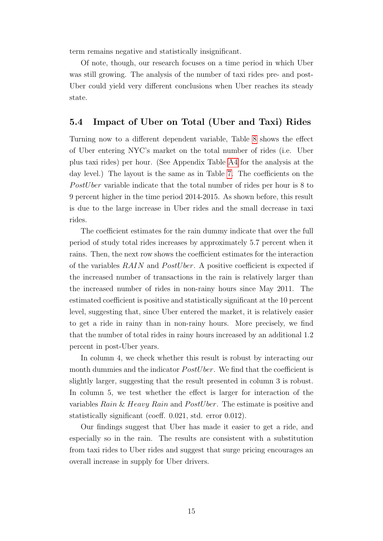term remains negative and statistically insignificant.

Of note, though, our research focuses on a time period in which Uber was still growing. The analysis of the number of taxi rides pre- and post-Uber could yield very different conclusions when Uber reaches its steady state.

#### 5.4 Impact of Uber on Total (Uber and Taxi) Rides

Turning now to a different dependent variable, Table [8](#page-27-0) shows the effect of Uber entering NYC's market on the total number of rides (i.e. Uber plus taxi rides) per hour. (See Appendix Table [A4](#page-29-1) for the analysis at the day level.) The layout is the same as in Table [7.](#page-26-0) The coefficients on the PostU ber variable indicate that the total number of rides per hour is  $8 \text{ to }$ 9 percent higher in the time period 2014-2015. As shown before, this result is due to the large increase in Uber rides and the small decrease in taxi rides.

The coefficient estimates for the rain dummy indicate that over the full period of study total rides increases by approximately 5.7 percent when it rains. Then, the next row shows the coefficient estimates for the interaction of the variables  $RAIN$  and  $PostUber$ . A positive coefficient is expected if the increased number of transactions in the rain is relatively larger than the increased number of rides in non-rainy hours since May 2011. The estimated coefficient is positive and statistically significant at the 10 percent level, suggesting that, since Uber entered the market, it is relatively easier to get a ride in rainy than in non-rainy hours. More precisely, we find that the number of total rides in rainy hours increased by an additional 1.2 percent in post-Uber years.

In column 4, we check whether this result is robust by interacting our month dummies and the indicator *PostUber*. We find that the coefficient is slightly larger, suggesting that the result presented in column 3 is robust. In column 5, we test whether the effect is larger for interaction of the variables  $Rain & Heavy Rain$  and  $PostUber$ . The estimate is positive and statistically significant (coeff. 0.021, std. error 0.012).

Our findings suggest that Uber has made it easier to get a ride, and especially so in the rain. The results are consistent with a substitution from taxi rides to Uber rides and suggest that surge pricing encourages an overall increase in supply for Uber drivers.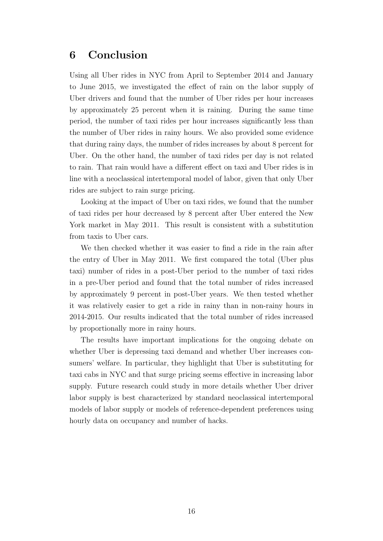# 6 Conclusion

Using all Uber rides in NYC from April to September 2014 and January to June 2015, we investigated the effect of rain on the labor supply of Uber drivers and found that the number of Uber rides per hour increases by approximately 25 percent when it is raining. During the same time period, the number of taxi rides per hour increases significantly less than the number of Uber rides in rainy hours. We also provided some evidence that during rainy days, the number of rides increases by about 8 percent for Uber. On the other hand, the number of taxi rides per day is not related to rain. That rain would have a different effect on taxi and Uber rides is in line with a neoclassical intertemporal model of labor, given that only Uber rides are subject to rain surge pricing.

Looking at the impact of Uber on taxi rides, we found that the number of taxi rides per hour decreased by 8 percent after Uber entered the New York market in May 2011. This result is consistent with a substitution from taxis to Uber cars.

We then checked whether it was easier to find a ride in the rain after the entry of Uber in May 2011. We first compared the total (Uber plus taxi) number of rides in a post-Uber period to the number of taxi rides in a pre-Uber period and found that the total number of rides increased by approximately 9 percent in post-Uber years. We then tested whether it was relatively easier to get a ride in rainy than in non-rainy hours in 2014-2015. Our results indicated that the total number of rides increased by proportionally more in rainy hours.

The results have important implications for the ongoing debate on whether Uber is depressing taxi demand and whether Uber increases consumers' welfare. In particular, they highlight that Uber is substituting for taxi cabs in NYC and that surge pricing seems effective in increasing labor supply. Future research could study in more details whether Uber driver labor supply is best characterized by standard neoclassical intertemporal models of labor supply or models of reference-dependent preferences using hourly data on occupancy and number of hacks.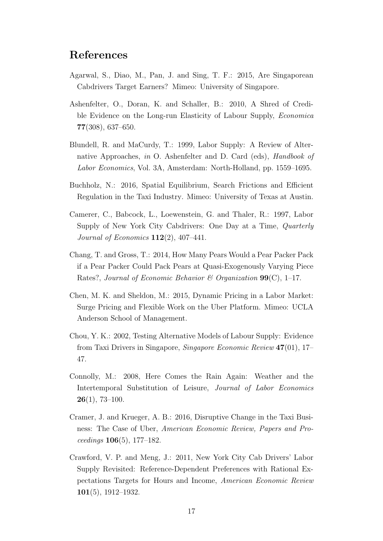## References

- <span id="page-18-3"></span>Agarwal, S., Diao, M., Pan, J. and Sing, T. F.: 2015, Are Singaporean Cabdrivers Target Earners? Mimeo: University of Singapore.
- <span id="page-18-6"></span>Ashenfelter, O., Doran, K. and Schaller, B.: 2010, A Shred of Credible Evidence on the Long-run Elasticity of Labour Supply, Economica 77(308), 637–650.
- <span id="page-18-1"></span>Blundell, R. and MaCurdy, T.: 1999, Labor Supply: A Review of Alternative Approaches, in O. Ashenfelter and D. Card (eds), Handbook of Labor Economics, Vol. 3A, Amsterdam: North-Holland, pp. 1559–1695.
- <span id="page-18-10"></span>Buchholz, N.: 2016, Spatial Equilibrium, Search Frictions and Efficient Regulation in the Taxi Industry. Mimeo: University of Texas at Austin.
- <span id="page-18-0"></span>Camerer, C., Babcock, L., Loewenstein, G. and Thaler, R.: 1997, Labor Supply of New York City Cabdrivers: One Day at a Time, Quarterly Journal of Economics 112(2), 407–441.
- <span id="page-18-2"></span>Chang, T. and Gross, T.: 2014, How Many Pears Would a Pear Packer Pack if a Pear Packer Could Pack Pears at Quasi-Exogenously Varying Piece Rates?, Journal of Economic Behavior & Organization  $99(C)$ , 1-17.
- <span id="page-18-7"></span>Chen, M. K. and Sheldon, M.: 2015, Dynamic Pricing in a Labor Market: Surge Pricing and Flexible Work on the Uber Platform. Mimeo: UCLA Anderson School of Management.
- <span id="page-18-4"></span>Chou, Y. K.: 2002, Testing Alternative Models of Labour Supply: Evidence from Taxi Drivers in Singapore, Singapore Economic Review 47(01), 17– 47.
- <span id="page-18-9"></span>Connolly, M.: 2008, Here Comes the Rain Again: Weather and the Intertemporal Substitution of Leisure, Journal of Labor Economics 26(1), 73–100.
- <span id="page-18-8"></span>Cramer, J. and Krueger, A. B.: 2016, Disruptive Change in the Taxi Business: The Case of Uber, American Economic Review, Papers and Proceedings 106(5), 177–182.
- <span id="page-18-5"></span>Crawford, V. P. and Meng, J.: 2011, New York City Cab Drivers' Labor Supply Revisited: Reference-Dependent Preferences with Rational Expectations Targets for Hours and Income, American Economic Review 101(5), 1912–1932.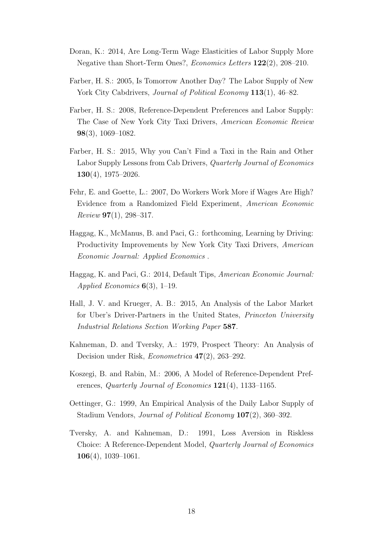- <span id="page-19-6"></span>Doran, K.: 2014, Are Long-Term Wage Elasticities of Labor Supply More Negative than Short-Term Ones?, Economics Letters 122(2), 208–210.
- <span id="page-19-10"></span>Farber, H. S.: 2005, Is Tomorrow Another Day? The Labor Supply of New York City Cabdrivers, *Journal of Political Economy* 113(1), 46–82.
- <span id="page-19-7"></span>Farber, H. S.: 2008, Reference-Dependent Preferences and Labor Supply: The Case of New York City Taxi Drivers, American Economic Review 98(3), 1069–1082.
- <span id="page-19-0"></span>Farber, H. S.: 2015, Why you Can't Find a Taxi in the Rain and Other Labor Supply Lessons from Cab Drivers, Quarterly Journal of Economics  $130(4)$ , 1975–2026.
- <span id="page-19-1"></span>Fehr, E. and Goette, L.: 2007, Do Workers Work More if Wages Are High? Evidence from a Randomized Field Experiment, American Economic  $Review 97(1), 298-317.$
- <span id="page-19-9"></span>Haggag, K., McManus, B. and Paci, G.: forthcoming, Learning by Driving: Productivity Improvements by New York City Taxi Drivers, American Economic Journal: Applied Economics .
- <span id="page-19-8"></span>Haggag, K. and Paci, G.: 2014, Default Tips, American Economic Journal: Applied Economics  $6(3)$ , 1–19.
- <span id="page-19-11"></span>Hall, J. V. and Krueger, A. B.: 2015, An Analysis of the Labor Market for Uber's Driver-Partners in the United States, Princeton University Industrial Relations Section Working Paper 587.
- <span id="page-19-4"></span>Kahneman, D. and Tversky, A.: 1979, Prospect Theory: An Analysis of Decision under Risk, Econometrica 47(2), 263–292.
- <span id="page-19-3"></span>Koszegi, B. and Rabin, M.: 2006, A Model of Reference-Dependent Preferences, *Quarterly Journal of Economics* 121(4), 1133–1165.
- <span id="page-19-2"></span>Oettinger, G.: 1999, An Empirical Analysis of the Daily Labor Supply of Stadium Vendors, Journal of Political Economy 107(2), 360–392.
- <span id="page-19-5"></span>Tversky, A. and Kahneman, D.: 1991, Loss Aversion in Riskless Choice: A Reference-Dependent Model, Quarterly Journal of Economics  $106(4)$ , 1039–1061.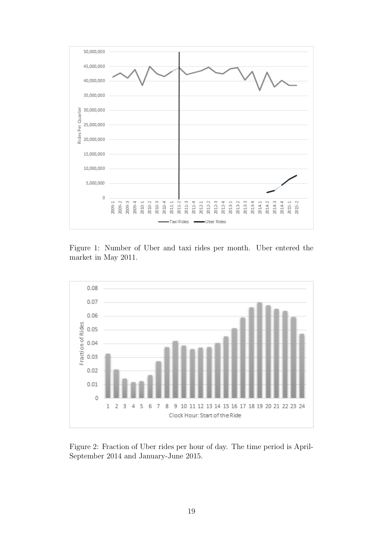<span id="page-20-0"></span>

Figure 1: Number of Uber and taxi rides per month. Uber entered the market in May 2011.

<span id="page-20-1"></span>

Figure 2: Fraction of Uber rides per hour of day. The time period is April-September 2014 and January-June 2015.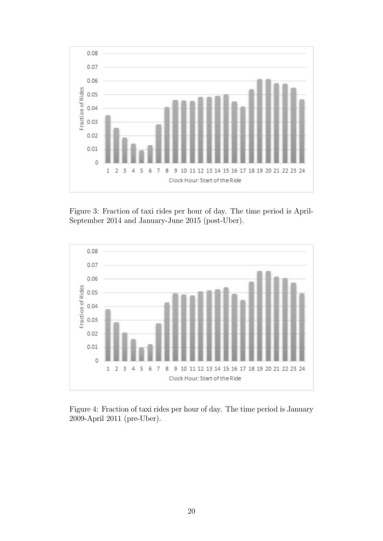<span id="page-21-0"></span>

Figure 3: Fraction of taxi rides per hour of day. The time period is April-September 2014 and January-June 2015 (post-Uber).

<span id="page-21-1"></span>

Figure 4: Fraction of taxi rides per hour of day. The time period is January 2009-April 2011 (pre-Uber).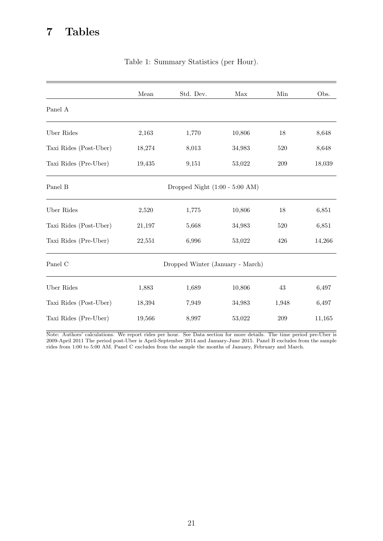# <span id="page-22-0"></span>7 Tables

|                        | Mean   | Std. Dev.                                | Max    | Min   | Obs.   |
|------------------------|--------|------------------------------------------|--------|-------|--------|
| Panel A                |        |                                          |        |       |        |
| Uber Rides             | 2,163  | 1,770                                    | 10,806 | 18    | 8,648  |
| Taxi Rides (Post-Uber) | 18,274 | 8,013                                    | 34,983 | 520   | 8,648  |
| Taxi Rides (Pre-Uber)  | 19,435 | 9,151                                    | 53,022 | 209   | 18,039 |
| Panel B                |        | Dropped Night $(1:00 - 5:00 \text{ AM})$ |        |       |        |
| Uber Rides             | 2,520  | 1,775                                    | 10,806 | 18    | 6,851  |
| Taxi Rides (Post-Uber) | 21,197 | 5,668                                    | 34,983 | 520   | 6,851  |
| Taxi Rides (Pre-Uber)  | 22,551 | 6,996                                    | 53,022 | 426   | 14,266 |
| Panel C                |        | Dropped Winter (January - March)         |        |       |        |
| Uber Rides             | 1,883  | 1,689                                    | 10,806 | 43    | 6,497  |
| Taxi Rides (Post-Uber) | 18,394 | 7,949                                    | 34,983 | 1,948 | 6,497  |
| Taxi Rides (Pre-Uber)  | 19,566 | 8,997                                    | 53,022 | 209   | 11,165 |

#### Table 1: Summary Statistics (per Hour).

Note: Authors' calculations. We report rides per hour. See Data section for more details. The time period pre-Uber is 2009-April 2011 The period post-Uber is April-September 2014 and January-June 2015. Panel B excludes from the sample rides from 1:00 to 5:00 AM. Panel C excludes from the sample the months of January, February and March.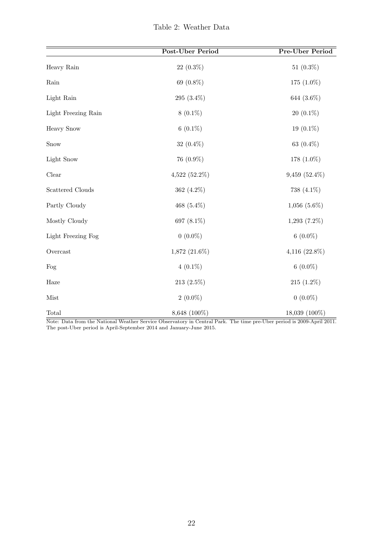|  | Table 2: Weather Data |  |
|--|-----------------------|--|
|  |                       |  |

<span id="page-23-0"></span>

|                     | Post-Uber Period   | Pre-Uber Period   |
|---------------------|--------------------|-------------------|
| Heavy Rain          | $22(0.3\%)$        | 51 $(0.3\%)$      |
| Rain                | 69 (0.8%)          | 175 (1.0%)        |
| Light Rain          | 295 (3.4%)         | 644 (3.6%)        |
| Light Freezing Rain | $8(0.1\%)$         | $20(0.1\%)$       |
| <b>Heavy Snow</b>   | $6(0.1\%)$         | 19 (0.1%)         |
| Snow                | 32 $(0.4\%)$       | 63 (0.4%)         |
| Light Snow          | 76 (0.9%)          | 178 (1.0%)        |
| Clear               | $4,522$ (52.2%)    | 9,459 (52.4%)     |
| Scattered Clouds    | 362 (4.2%)         | 738 (4.1%)        |
| Partly Cloudy       | 468 (5.4%)         | $1,056$ $(5.6\%)$ |
| Mostly Cloudy       | 697 (8.1%)         | $1,293(7.2\%)$    |
| Light Freezing Fog  | $0(0.0\%)$         | $6(0.0\%)$        |
| Overcast            | $1,872$ $(21.6\%)$ | 4,116 (22.8%)     |
| Fog                 | $4(0.1\%)$         | $6(0.0\%)$        |
| Haze                | $213(2.5\%)$       | 215 (1.2%)        |
| Mist                | $2(0.0\%)$         | $0(0.0\%)$        |
| Total               | 8,648 (100%)       | 18,039 (100%)     |

Note: Data from the National Weather Service Observatory in Central Park. The time pre-Uber period is 2009-April 2011. The post-Uber period is April-September 2014 and January-June 2015.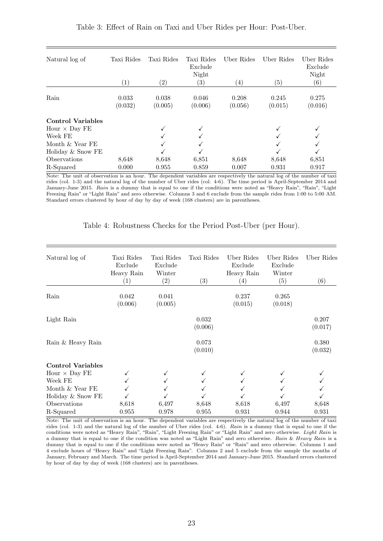| Natural log of           | Taxi Rides<br>$\left( 1\right)$ | Taxi Rides<br>(2) | Taxi Rides<br>Exclude<br>Night<br>$\left( 3\right)$ | Uber Rides<br>$\left( 4\right)$ | Uber Rides<br>(5) | Uber Rides<br>Exclude<br>Night<br>(6) |
|--------------------------|---------------------------------|-------------------|-----------------------------------------------------|---------------------------------|-------------------|---------------------------------------|
|                          |                                 |                   |                                                     |                                 |                   |                                       |
| Rain                     | 0.033<br>(0.032)                | 0.038<br>(0.005)  | 0.046<br>(0.006)                                    | 0.208<br>(0.056)                | 0.245<br>(0.015)  | 0.275<br>(0.016)                      |
| <b>Control Variables</b> |                                 |                   |                                                     |                                 |                   |                                       |
| Hour $\times$ Day FE     |                                 |                   |                                                     |                                 |                   |                                       |
| Week FE                  |                                 |                   |                                                     |                                 |                   |                                       |
| Month $&$ Year FE        |                                 |                   |                                                     |                                 |                   |                                       |
| Holiday & Snow FE        |                                 |                   |                                                     |                                 |                   |                                       |
| Observations             | 8.648                           | 8,648             | 6,851                                               | 8,648                           | 8,648             | 6,851                                 |
| R-Squared                | 0.000                           | 0.955             | 0.859                                               | 0.007                           | 0.931             | 0.917                                 |

<span id="page-24-0"></span>Table 3: Effect of Rain on Taxi and Uber Rides per Hour: Post-Uber.

Note: The unit of observation is an hour. The dependent variables are respectively the natural log of the number of taxi rides (col. 1-3) and the natural log of the number of Uber rides (col. 4-6). The time period is April-September 2014 and January-June 2015. Rain is a dummy that is equal to one if the conditions were noted as "Heavy Rain", "Rain", "Light Freezing Rain" or "Light Rain" and zero otherwise. Columns 3 and 6 exclude from the sample rides from 1:00 to 5:00 AM. Standard errors clustered by hour of day by day of week (168 clusters) are in parentheses.

<span id="page-24-1"></span>

| Natural log of           | Taxi Rides<br>Exclude<br>Heavy Rain<br>$\left( 1\right)$ | Taxi Rides<br>Exclude<br>Winter<br>$\left( 2\right)$ | Taxi Rides<br>(3) | Uber Rides<br>Exclude<br>Heavy Rain<br>(4) | Uber Rides<br>Exclude<br>Winter<br>(5) | Uber Rides<br>(6) |
|--------------------------|----------------------------------------------------------|------------------------------------------------------|-------------------|--------------------------------------------|----------------------------------------|-------------------|
|                          |                                                          |                                                      |                   |                                            |                                        |                   |
| Rain                     | 0.042<br>(0.006)                                         | 0.041<br>(0.005)                                     |                   | 0.237<br>(0.015)                           | 0.265<br>(0.018)                       |                   |
| Light Rain               |                                                          |                                                      | 0.032             |                                            |                                        | 0.207             |
|                          |                                                          |                                                      | (0.006)           |                                            |                                        | (0.017)           |
| Rain & Heavy Rain        |                                                          |                                                      | 0.073             |                                            |                                        | 0.380             |
|                          |                                                          |                                                      | (0.010)           |                                            |                                        | (0.032)           |
| <b>Control Variables</b> |                                                          |                                                      |                   |                                            |                                        |                   |
| Hour $\times$ Day FE     | ✓                                                        |                                                      |                   |                                            |                                        |                   |
| Week FE                  |                                                          |                                                      |                   |                                            |                                        |                   |
| Month $&$ Year FE        |                                                          |                                                      |                   |                                            |                                        |                   |
| Holiday & Snow FE        |                                                          |                                                      |                   |                                            |                                        |                   |
| Observations             | 8,618                                                    | 6,497                                                | 8,648             | 8,618                                      | 6,497                                  | 8,648             |
| R-Squared                | 0.955                                                    | 0.978                                                | 0.955             | 0.931                                      | 0.944                                  | 0.931             |

| Table 4: Robustness Checks for the Period Post-Uber (per Hour). |  |  |  |  |  |  |
|-----------------------------------------------------------------|--|--|--|--|--|--|
|-----------------------------------------------------------------|--|--|--|--|--|--|

Note: The unit of observation is an hour. The dependent variables are respectively the natural log of the number of taxi rides (col. 1-3) and the natural log of the number of Uber rides (col. 4-6). Rain is a dummy that is equal to one if the conditions were noted as "Heavy Rain", "Rain", "Light Freezing Rain" or "Light Rain" and zero otherwise. Light Rain is a dummy that is equal to one if the condition was noted as "Light Rain" and zero otherwise. Rain & Heavy Rain is a dummy that is equal to one if the conditions were noted as "Heavy Rain" or "Rain" and zero otherwise. Columns 1 and 4 exclude hours of "Heavy Rain" and "Light Freezing Rain". Columns 2 and 5 exclude from the sample the months of January, February and March. The time period is April-September 2014 and January-June 2015. Standard errors clustered by hour of day by day of week (168 clusters) are in parentheses.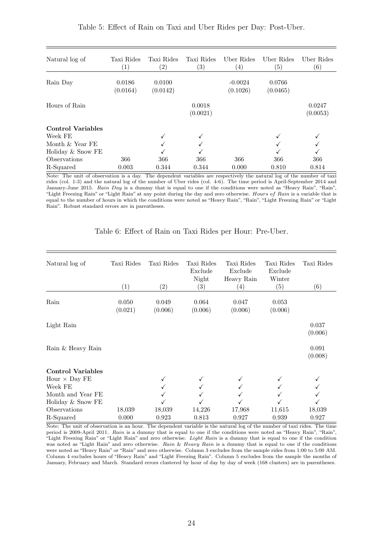| Natural log of           | Taxi Rides<br>$\left( 1\right)$ | Taxi Rides<br>$\left( 2\right)$ | Taxi Rides<br>$\left( 3\right)$ | Uber Rides<br>$\left( 4\right)$ | Uber Rides<br>(5)  | Uber Rides<br>$\left( 6\right)$ |
|--------------------------|---------------------------------|---------------------------------|---------------------------------|---------------------------------|--------------------|---------------------------------|
| Rain Day                 | 0.0186<br>(0.0164)              | 0.0100<br>(0.0142)              |                                 | $-0.0024$<br>(0.1026)           | 0.0766<br>(0.0465) |                                 |
| Hours of Rain            |                                 |                                 | 0.0018<br>(0.0021)              |                                 |                    | 0.0247<br>(0.0053)              |
| <b>Control Variables</b> |                                 |                                 |                                 |                                 |                    |                                 |
| Week FE                  |                                 |                                 |                                 |                                 |                    |                                 |
| Month $&$ Year FE        |                                 |                                 |                                 |                                 |                    |                                 |
| Holiday & Snow FE        |                                 |                                 |                                 |                                 |                    |                                 |
| Observations             | 366                             | 366                             | 366                             | 366                             | 366                | 366                             |
| R-Squared                | 0.003                           | 0.344                           | 0.344                           | 0.000                           | 0.810              | 0.814                           |

<span id="page-25-0"></span>Table 5: Effect of Rain on Taxi and Uber Rides per Day: Post-Uber.

Note: The unit of observation is a day. The dependent variables are respectively the natural log of the number of taxi rides (col. 1-3) and the natural log of the number of Uber rides (col. 4-6). The time period is April-September 2014 and January-June 2015. Rain Day is a dummy that is equal to one if the conditions were noted as "Heavy Rain", "Rain", "Light Freezing Rain" or "Light Rain" at any point during the day and zero otherwise. Hours of Rain is a variable that is equal to the number of hours in which the conditions were noted as "Heavy Rain", "Rain", "Light Freezing Rain" or "Light Rain". Robust standard errors are in parentheses.

<span id="page-25-1"></span>

| Natural log of           | Taxi Rides<br>(1) | Taxi Rides<br>$\left( 2\right)$ | Taxi Rides<br>Exclude<br>Night<br>$\left( 3\right)$ | Taxi Rides<br>Exclude<br>Heavy Rain<br>$\left( 4\right)$ | Taxi Rides<br>Exclude<br>Winter<br>(5) | Taxi Rides<br>(6) |
|--------------------------|-------------------|---------------------------------|-----------------------------------------------------|----------------------------------------------------------|----------------------------------------|-------------------|
| Rain                     | 0.050<br>(0.021)  | 0.049<br>(0.006)                | 0.064<br>(0.006)                                    | 0.047<br>(0.006)                                         | 0.053<br>(0.006)                       |                   |
| Light Rain               |                   |                                 |                                                     |                                                          |                                        | 0.037<br>(0.006)  |
| Rain & Heavy Rain        |                   |                                 |                                                     |                                                          |                                        | 0.091<br>(0.008)  |
| <b>Control Variables</b> |                   |                                 |                                                     |                                                          |                                        |                   |
| Hour $\times$ Day FE     |                   |                                 |                                                     |                                                          |                                        |                   |
| Week FE                  |                   |                                 |                                                     |                                                          |                                        |                   |
| Month and Year FE        |                   |                                 |                                                     |                                                          |                                        |                   |
| Holiday & Snow FE        |                   |                                 |                                                     |                                                          |                                        |                   |
| Observations             | 18,039            | 18,039                          | 14,226                                              | 17,968                                                   | 11,615                                 | 18,039            |
| R-Squared                | 0.000             | 0.923                           | 0.813                                               | 0.927                                                    | 0.939                                  | 0.927             |

Table 6: Effect of Rain on Taxi Rides per Hour: Pre-Uber.

Note: The unit of observation is an hour. The dependent variable is the natural log of the number of taxi rides. The time period is 2009-April 2011. Rain is a dummy that is equal to one if the conditions were noted as "Heavy Rain", "Rain", "Light Freezing Rain" or "Light Rain" and zero otherwise. Light Rain is a dummy that is equal to one if the condition was noted as "Light Rain" and zero otherwise. Rain & Heavy Rain is a dummy that is equal to one if the conditions were noted as "Heavy Rain" or "Rain" and zero otherwise. Column 3 excludes from the sample rides from 1:00 to 5:00 AM. Column 4 excludes hours of "Heavy Rain" and "Light Freezing Rain". Column 5 excludes from the sample the months of January, February and March. Standard errors clustered by hour of day by day of week (168 clusters) are in parentheses.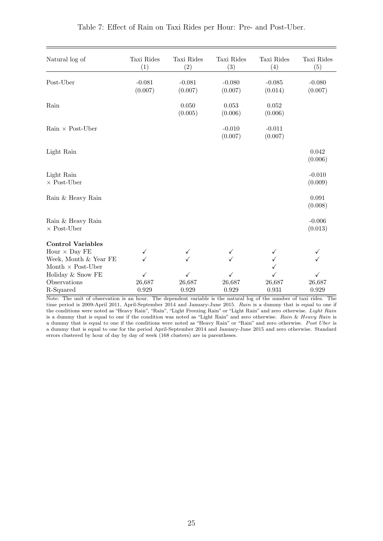<span id="page-26-0"></span>

| Natural log of                          | Taxi Rides<br>(1)   | Taxi Rides<br>(2)   | Taxi Rides<br>(3)   | Taxi Rides<br>(4)   | Taxi Rides<br>(5)   |
|-----------------------------------------|---------------------|---------------------|---------------------|---------------------|---------------------|
| Post-Uber                               | $-0.081$<br>(0.007) | $-0.081$<br>(0.007) | $-0.080$<br>(0.007) | $-0.085$<br>(0.014) | $-0.080$<br>(0.007) |
| Rain                                    |                     | 0.050<br>(0.005)    | 0.053<br>(0.006)    | 0.052<br>(0.006)    |                     |
| $Rain \times Post-Über$                 |                     |                     | $-0.010$<br>(0.007) | $-0.011$<br>(0.007) |                     |
| Light Rain                              |                     |                     |                     |                     | 0.042<br>(0.006)    |
| Light Rain<br>$\times$ Post-Uber        |                     |                     |                     |                     | $-0.010$<br>(0.009) |
| Rain & Heavy Rain                       |                     |                     |                     |                     | 0.091<br>(0.008)    |
| Rain & Heavy Rain<br>$\times$ Post-Uber |                     |                     |                     |                     | $-0.006$<br>(0.013) |
| <b>Control Variables</b>                |                     |                     |                     |                     |                     |
| Hour $\times$ Day FE                    | ✓                   | ✓                   |                     |                     | ✓                   |
| Week, Month & Year FE                   |                     |                     |                     | ✓                   |                     |
| Month $\times$ Post-Uber                |                     |                     |                     |                     |                     |
| Holiday & Snow FE                       | $\checkmark$        | ✓                   | ✓                   | ✓                   | $\checkmark$        |
| Observations                            | 26,687              | 26,687              | 26,687              | 26,687              | 26,687              |
| R-Squared                               | $\,0.929\,$         | 0.929               | 0.929               | 0.931               | 0.929               |

|  |  |  |  |  |  |  |  |  | Table 7: Effect of Rain on Taxi Rides per Hour: Pre- and Post-Uber. |  |
|--|--|--|--|--|--|--|--|--|---------------------------------------------------------------------|--|
|--|--|--|--|--|--|--|--|--|---------------------------------------------------------------------|--|

Note: The unit of observation is an hour. The dependent variable is the natural log of the number of taxi rides. The time period is 2009-April 2011, April-September 2014 and January-June 2015. Rain is a dummy that is equal to one if the conditions were noted as "Heavy Rain", "Rain", "Light Freezing Rain" or "Light Rain" and zero otherwise. Light Rain is a dummy that is equal to one if the condition was noted as "Light Rain" and zero otherwise. Rain & Heavy Rain is a dummy that is equal to one if the conditions were noted as "Heavy Rain" or "Rain" and zero otherwise. Post Uber is a dummy that is equal to one for the period April-September 2014 and January-June 2015 and zero otherwise. Standard errors clustered by hour of day by day of week (168 clusters) are in parentheses.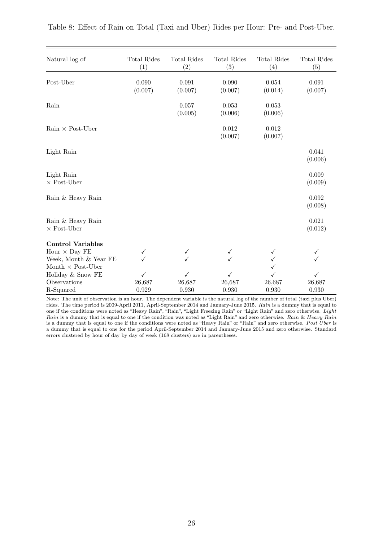<span id="page-27-0"></span>

| Natural log of                          | Total Rides<br>(1) | <b>Total Rides</b><br>$\left( 2\right)$ | <b>Total Rides</b><br>(3) | Total Rides<br>(4) | Total Rides<br>(5) |
|-----------------------------------------|--------------------|-----------------------------------------|---------------------------|--------------------|--------------------|
| Post-Uber                               | 0.090<br>(0.007)   | 0.091<br>(0.007)                        | 0.090<br>(0.007)          | 0.054<br>(0.014)   | 0.091<br>(0.007)   |
| Rain                                    |                    | 0.057<br>(0.005)                        | 0.053<br>(0.006)          | 0.053<br>(0.006)   |                    |
| $Rain \times Post-Über$                 |                    |                                         | 0.012<br>(0.007)          | 0.012<br>(0.007)   |                    |
| Light Rain                              |                    |                                         |                           |                    | 0.041<br>(0.006)   |
| Light Rain<br>$\times$ Post-Uber        |                    |                                         |                           |                    | 0.009<br>(0.009)   |
| Rain & Heavy Rain                       |                    |                                         |                           |                    | 0.092<br>(0.008)   |
| Rain & Heavy Rain<br>$\times$ Post-Uber |                    |                                         |                           |                    | 0.021<br>(0.012)   |
| <b>Control Variables</b>                |                    |                                         |                           |                    |                    |
| Hour $\times$ Day FE                    | $\checkmark$       | ✓                                       |                           | ✓                  | ✓                  |
| Week, Month & Year FE                   |                    | ✓                                       |                           | ✓                  |                    |
| Month $\times$ Post-Uber                |                    |                                         |                           |                    |                    |
| Holiday & Snow FE                       | $\checkmark$       | ✓                                       | $\checkmark$              | ✓                  | ✓                  |
| Observations                            | 26,687             | 26,687                                  | 26,687                    | 26,687             | 26,687             |
| R-Squared                               | 0.929              | 0.930                                   | 0.930                     | 0.930              | 0.930              |

Note: The unit of observation is an hour. The dependent variable is the natural log of the number of total (taxi plus Uber) rides. The time period is 2009-April 2011, April-September 2014 and January-June 2015. Rain is a dummy that is equal to one if the conditions were noted as "Heavy Rain", "Rain", "Light Freezing Rain" or "Light Rain" and zero otherwise. Light Rain is a dummy that is equal to one if the condition was noted as "Light Rain" and zero otherwise. Rain & Heavy Rain is a dummy that is equal to one if the conditions were noted as "Heavy Rain" or "Rain" and zero otherwise. Post  $\tilde{U}$ ber is a dummy that is equal to one for the period April-September 2014 and January-June 2015 and zero otherwise. Standard errors clustered by hour of day by day of week (168 clusters) are in parentheses.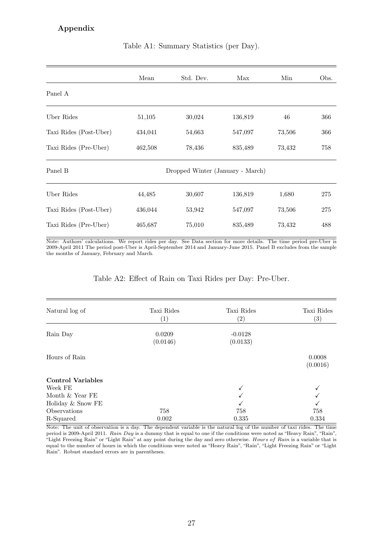### <span id="page-28-0"></span>Appendix

|                        | Mean    | Std. Dev.                        | Max     | Min    | Obs. |
|------------------------|---------|----------------------------------|---------|--------|------|
| Panel A                |         |                                  |         |        |      |
| Uber Rides             | 51,105  | 30,024                           | 136,819 | 46     | 366  |
| Taxi Rides (Post-Uber) | 434,041 | 54,663                           | 547,097 | 73,506 | 366  |
| Taxi Rides (Pre-Uber)  | 462,508 | 78,436                           | 835,489 | 73,432 | 758  |
| Panel B                |         | Dropped Winter (January - March) |         |        |      |
| Uber Rides             | 44,485  | 30,607                           | 136,819 | 1,680  | 275  |
| Taxi Rides (Post-Uber) | 436,044 | 53,942                           | 547,097 | 73,506 | 275  |
| Taxi Rides (Pre-Uber)  | 465,687 | 75,010                           | 835,489 | 73,432 | 488  |

#### Table A1: Summary Statistics (per Day).

Note: Authors' calculations. We report rides per day. See Data section for more details. The time period pre-Uber is 2009-April 2011 The period post-Uber is April-September 2014 and January-June 2015. Panel B excludes from the sample the months of January, February and March.

#### Table A2: Effect of Rain on Taxi Rides per Day: Pre-Uber.

<span id="page-28-1"></span>

| Natural log of           | Taxi Rides<br>$\left( 1\right)$ | Taxi Rides<br>$\left( 2\right)$ | Taxi Rides<br>$\left( 3\right)$ |
|--------------------------|---------------------------------|---------------------------------|---------------------------------|
| Rain Day                 | 0.0209                          | $-0.0128$                       |                                 |
|                          | (0.0146)                        | (0.0133)                        |                                 |
| Hours of Rain            |                                 |                                 | 0.0008                          |
|                          |                                 |                                 | (0.0016)                        |
| <b>Control Variables</b> |                                 |                                 |                                 |
| Week FE                  |                                 |                                 |                                 |
| Month & Year FE          |                                 |                                 |                                 |
| Holiday & Snow FE        |                                 |                                 | ✓                               |
| Observations             | 758                             | 758                             | 758                             |
| R-Squared                | 0.002                           | 0.335                           | 0.334                           |

Note: The unit of observation is a day. The dependent variable is the natural log of the number of taxi rides. The time period is 2009-April 2011. Rain Day is a dummy that is equal to one if the conditions were noted as "Heavy Rain", "Rain", "Light Freezing Rain" or "Light Rain" at any point during the day and zero otherwise. Hours of Rain is a variable that is equal to the number of hours in which the conditions were noted as "Heavy Rain", "Rain", "Light Freezing Rain" or "Light Rain". Robust standard errors are in parentheses.